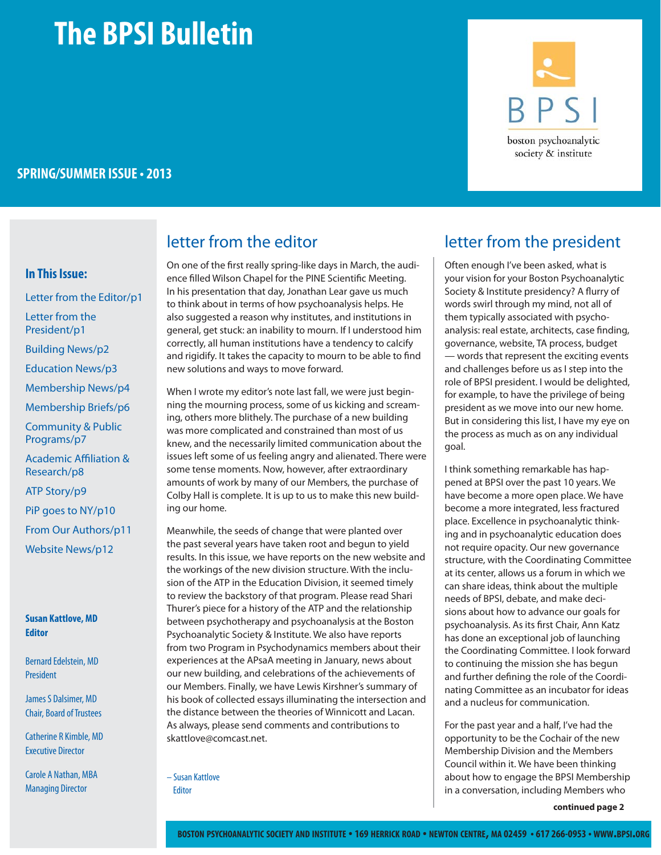# **The BPSI Bulletin**

### **SPRING/SUMMER ISSUE • 2013**

#### **In This Issue:**

Letter from the Editor/p1 Letter from the President/p1 Building News/p2 Education News/p3 Membership News/p4 Membership Briefs/p6 Community & Public Programs/p7 Academic Affiliation & Research/p8 ATP Story/p9 PiP goes to NY/p10 From Our Authors/p11 Website News/p12

#### **Susan Kattlove, MD Editor**

Bernard Edelstein, MD President

James S Dalsimer, MD Chair, Board of Trustees

Catherine R Kimble, MD Executive Director

Carole A Nathan, MBA Managing Director

### letter from the editor and letter from the president

On one of the first really spring-like days in March, the audience filled Wilson Chapel for the PINE Scientific Meeting. In his presentation that day, Jonathan Lear gave us much to think about in terms of how psychoanalysis helps. He also suggested a reason why institutes, and institutions in general, get stuck: an inability to mourn. If I understood him correctly, all human institutions have a tendency to calcify and rigidify. It takes the capacity to mourn to be able to find new solutions and ways to move forward.

When I wrote my editor's note last fall, we were just beginning the mourning process, some of us kicking and screaming, others more blithely. The purchase of a new building was more complicated and constrained than most of us knew, and the necessarily limited communication about the issues left some of us feeling angry and alienated. There were some tense moments. Now, however, after extraordinary amounts of work by many of our Members, the purchase of Colby Hall is complete. It is up to us to make this new building our home.

Meanwhile, the seeds of change that were planted over the past several years have taken root and begun to yield results. In this issue, we have reports on the new website and the workings of the new division structure. With the inclusion of the ATP in the Education Division, it seemed timely to review the backstory of that program. Please read Shari Thurer's piece for a history of the ATP and the relationship between psychotherapy and psychoanalysis at the Boston Psychoanalytic Society & Institute. We also have reports from two Program in Psychodynamics members about their experiences at the APsaA meeting in January, news about our new building, and celebrations of the achievements of our Members. Finally, we have Lewis Kirshner's summary of his book of collected essays illuminating the intersection and the distance between the theories of Winnicott and Lacan. As always, please send comments and contributions to skattlove@comcast.net.

– Susan Kattlove Editor



Often enough I've been asked, what is your vision for your Boston Psychoanalytic Society & Institute presidency? A flurry of words swirl through my mind, not all of them typically associated with psychoanalysis: real estate, architects, case finding, governance, website, TA process, budget — words that represent the exciting events and challenges before us as I step into the role of BPSI president. I would be delighted, for example, to have the privilege of being president as we move into our new home. But in considering this list, I have my eye on the process as much as on any individual goal.

I think something remarkable has happened at BPSI over the past 10 years. We have become a more open place. We have become a more integrated, less fractured place. Excellence in psychoanalytic thinking and in psychoanalytic education does not require opacity. Our new governance structure, with the Coordinating Committee at its center, allows us a forum in which we can share ideas, think about the multiple needs of BPSI, debate, and make decisions about how to advance our goals for psychoanalysis. As its first Chair, Ann Katz has done an exceptional job of launching the Coordinating Committee. I look forward to continuing the mission she has begun and further defining the role of the Coordinating Committee as an incubator for ideas and a nucleus for communication.

For the past year and a half, I've had the opportunity to be the Cochair of the new Membership Division and the Members Council within it. We have been thinking about how to engage the BPSI Membership in a conversation, including Members who

**continued page 2**

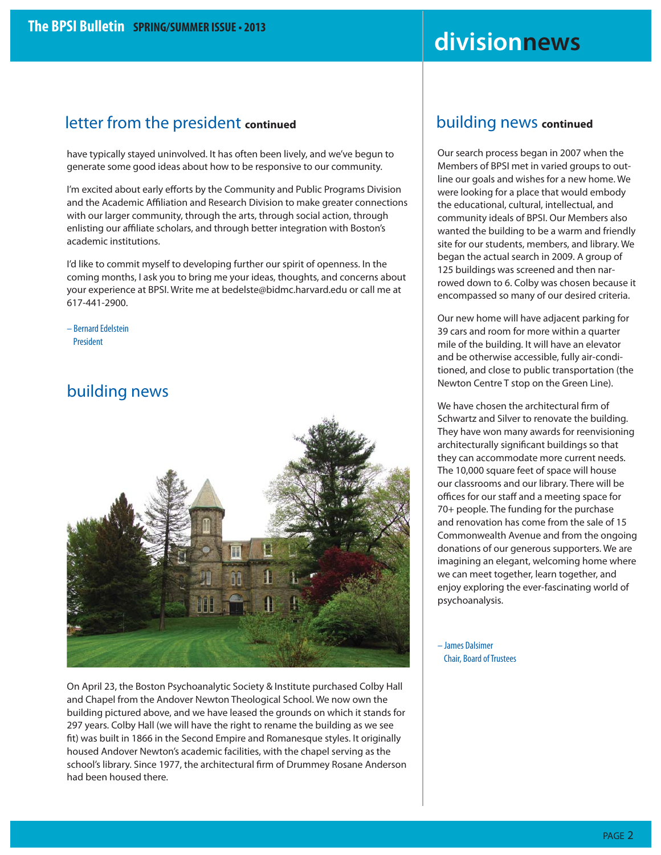## **divisionnews**

### letter from the president **continued**

have typically stayed uninvolved. It has often been lively, and we've begun to generate some good ideas about how to be responsive to our community.

I'm excited about early efforts by the Community and Public Programs Division and the Academic Affiliation and Research Division to make greater connections with our larger community, through the arts, through social action, through enlisting our affiliate scholars, and through better integration with Boston's academic institutions.

I'd like to commit myself to developing further our spirit of openness. In the coming months, I ask you to bring me your ideas, thoughts, and concerns about your experience at BPSI. Write me at bedelste@bidmc.harvard.edu or call me at 617-441-2900.

– Bernard Edelstein President

### building news



On April 23, the Boston Psychoanalytic Society & Institute purchased Colby Hall and Chapel from the Andover Newton Theological School. We now own the building pictured above, and we have leased the grounds on which it stands for 297 years. Colby Hall (we will have the right to rename the building as we see fit) was built in 1866 in the Second Empire and Romanesque styles. It originally housed Andover Newton's academic facilities, with the chapel serving as the school's library. Since 1977, the architectural firm of Drummey Rosane Anderson had been housed there.

### building news **continued**

Our search process began in 2007 when the Members of BPSI met in varied groups to outline our goals and wishes for a new home. We were looking for a place that would embody the educational, cultural, intellectual, and community ideals of BPSI. Our Members also wanted the building to be a warm and friendly site for our students, members, and library. We began the actual search in 2009. A group of 125 buildings was screened and then narrowed down to 6. Colby was chosen because it encompassed so many of our desired criteria.

Our new home will have adjacent parking for 39 cars and room for more within a quarter mile of the building. It will have an elevator and be otherwise accessible, fully air-conditioned, and close to public transportation (the Newton Centre T stop on the Green Line).

We have chosen the architectural firm of Schwartz and Silver to renovate the building. They have won many awards for reenvisioning architecturally significant buildings so that they can accommodate more current needs. The 10,000 square feet of space will house our classrooms and our library. There will be offices for our staff and a meeting space for 70+ people. The funding for the purchase and renovation has come from the sale of 15 Commonwealth Avenue and from the ongoing donations of our generous supporters. We are imagining an elegant, welcoming home where we can meet together, learn together, and enjoy exploring the ever-fascinating world of psychoanalysis.

– James Dalsimer Chair, Board of Trustees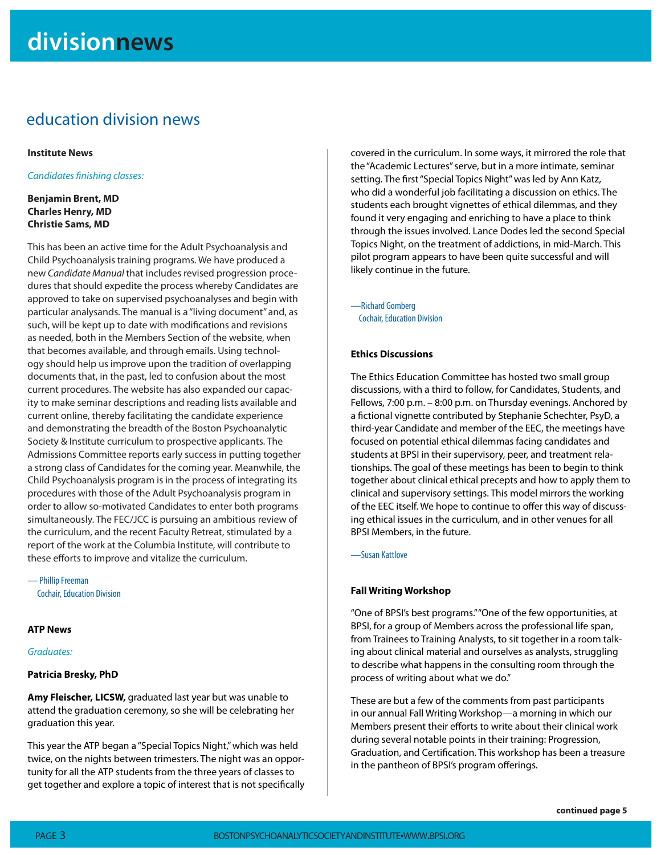### education division news

#### **Institute News**

Candidates finishing classes:

#### **Benjamin Brent, MD Charles Henry, MD Christie Sams, MD**

This has been an active time for the Adult Psychoanalysis and Child Psychoanalysis training programs. We have produced a new Candidate Manual that includes revised progression procedures that should expedite the process whereby Candidates are approved to take on supervised psychoanalyses and begin with particular analysands. The manual is a "living document" and, as such, will be kept up to date with modifications and revisions as needed, both in the Members Section of the website, when that becomes available, and through emails. Using technology should help us improve upon the tradition of overlapping documents that, in the past, led to confusion about the most current procedures. The website has also expanded our capacity to make seminar descriptions and reading lists available and current online, thereby facilitating the candidate experience and demonstrating the breadth of the Boston Psychoanalytic Society & Institute curriculum to prospective applicants. The Admissions Committee reports early success in putting together a strong class of Candidates for the coming year. Meanwhile, the Child Psychoanalysis program is in the process of integrating its procedures with those of the Adult Psychoanalysis program in order to allow so-motivated Candidates to enter both programs simultaneously. The FEC/JCC is pursuing an ambitious review of the curriculum, and the recent Faculty Retreat, stimulated by a report of the work at the Columbia Institute, will contribute to these efforts to improve and vitalize the curriculum.

— Phillip Freeman Cochair, Education Division

#### **ATP News**

Graduates:

#### **Patricia Bresky, PhD**

**Amy Fleischer, LICSW,** graduated last year but was unable to attend the graduation ceremony, so she will be celebrating her graduation this year.

This year the ATP began a "Special Topics Night," which was held twice, on the nights between trimesters. The night was an opportunity for all the ATP students from the three years of classes to get together and explore a topic of interest that is not specifically covered in the curriculum. In some ways, it mirrored the role that the "Academic Lectures" serve, but in a more intimate, seminar setting. The first "Special Topics Night" was led by Ann Katz, who did a wonderful job facilitating a discussion on ethics. The students each brought vignettes of ethical dilemmas, and they found it very engaging and enriching to have a place to think through the issues involved. Lance Dodes led the second Special Topics Night, on the treatment of addictions, in mid-March. This pilot program appears to have been quite successful and will likely continue in the future.

—Richard Gomberg Cochair, Education Division

#### **Ethics Discussions**

The Ethics Education Committee has hosted two small group discussions, with a third to follow, for Candidates, Students, and Fellows, 7:00 p.m. – 8:00 p.m. on Thursday evenings. Anchored by a fictional vignette contributed by Stephanie Schechter, PsyD, a third-year Candidate and member of the EEC, the meetings have focused on potential ethical dilemmas facing candidates and students at BPSI in their supervisory, peer, and treatment relationships. The goal of these meetings has been to begin to think together about clinical ethical precepts and how to apply them to clinical and supervisory settings. This model mirrors the working of the EEC itself. We hope to continue to offer this way of discussing ethical issues in the curriculum, and in other venues for all BPSI Members, in the future.

—Susan Kattlove

#### **Fall Writing Workshop**

"One of BPSI's best programs." "One of the few opportunities, at BPSI, for a group of Members across the professional life span, from Trainees to Training Analysts, to sit together in a room talking about clinical material and ourselves as analysts, struggling to describe what happens in the consulting room through the process of writing about what we do."

These are but a few of the comments from past participants in our annual Fall Writing Workshop—a morning in which our Members present their efforts to write about their clinical work during several notable points in their training: Progression, Graduation, and Certification. This workshop has been a treasure in the pantheon of BPSI's program offerings.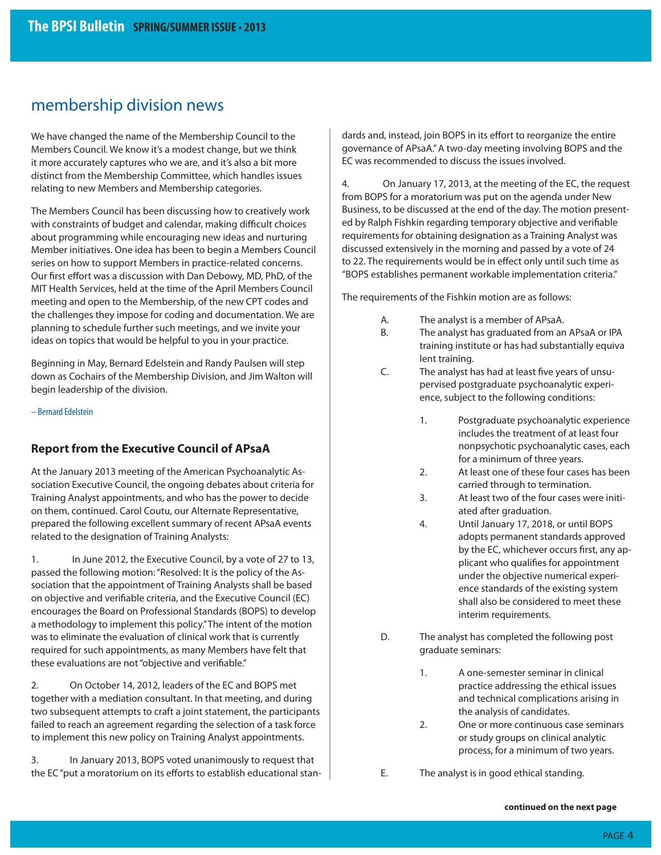### membership division news

We have changed the name of the Membership Council to the Members Council. We know it's a modest change, but we think it more accurately captures who we are, and it's also a bit more distinct from the Membership Committee, which handles issues relating to new Members and Membership categories.

The Members Council has been discussing how to creatively work with constraints of budget and calendar, making difficult choices about programming while encouraging new ideas and nurturing Member initiatives. One idea has been to begin a Members Council series on how to support Members in practice-related concerns. Our first effort was a discussion with Dan Debowy, MD, PhD, of the MIT Health Services, held at the time of the April Members Council meeting and open to the Membership, of the new CPT codes and the challenges they impose for coding and documentation. We are planning to schedule further such meetings, and we invite your ideas on topics that would be helpful to you in your practice.

Beginning in May, Bernard Edelstein and Randy Paulsen will step down as Cochairs of the Membership Division, and Jim Walton will begin leadership of the division.

– Bernard Edelstein

#### **Report from the Executive Council of APsaA**

At the January 2013 meeting of the American Psychoanalytic Association Executive Council, the ongoing debates about criteria for Training Analyst appointments, and who has the power to decide on them, continued. Carol Coutu, our Alternate Representative, prepared the following excellent summary of recent APsaA events related to the designation of Training Analysts:

1. In June 2012, the Executive Council, by a vote of 27 to 13, passed the following motion: "Resolved: It is the policy of the Association that the appointment of Training Analysts shall be based on objective and verifiable criteria, and the Executive Council (EC) encourages the Board on Professional Standards (BOPS) to develop a methodology to implement this policy." The intent of the motion was to eliminate the evaluation of clinical work that is currently required for such appointments, as many Members have felt that these evaluations are not "objective and verifiable."

2. On October 14, 2012, leaders of the EC and BOPS met together with a mediation consultant. In that meeting, and during two subsequent attempts to craft a joint statement, the participants failed to reach an agreement regarding the selection of a task force to implement this new policy on Training Analyst appointments.

3. In January 2013, BOPS voted unanimously to request that the EC "put a moratorium on its efforts to establish educational standards and, instead, join BOPS in its effort to reorganize the entire governance of APsaA." A two-day meeting involving BOPS and the EC was recommended to discuss the issues involved.

4. On January 17, 2013, at the meeting of the EC, the request from BOPS for a moratorium was put on the agenda under New Business, to be discussed at the end of the day. The motion presented by Ralph Fishkin regarding temporary objective and verifiable requirements for obtaining designation as a Training Analyst was discussed extensively in the morning and passed by a vote of 24 to 22. The requirements would be in effect only until such time as "BOPS establishes permanent workable implementation criteria."

The requirements of the Fishkin motion are as follows:

- A. The analyst is a member of APsaA.
- B. The analyst has graduated from an APsaA or IPA training institute or has had substantially equiva lent training.
- C. The analyst has had at least five years of unsu pervised postgraduate psychoanalytic experi ence, subject to the following conditions:
	- 1. Postgraduate psychoanalytic experience includes the treatment of at least four nonpsychotic psychoanalytic cases, each for a minimum of three years.
	- 2. At least one of these four cases has been carried through to termination.
	- 3. At least two of the four cases were initi ated after graduation.
	- 4. Until January 17, 2018, or until BOPS adopts permanent standards approved by the EC, whichever occurs first, any applicant who qualifies for appointment under the objective numerical experi ence standards of the existing system shall also be considered to meet these interim requirements.
- D. The analyst has completed the following post graduate seminars:
	- 1. A one-semester seminar in clinical practice addressing the ethical issues and technical complications arising in the analysis of candidates.
	- 2. One or more continuous case seminars or study groups on clinical analytic process, for a minimum of two years.

E. The analyst is in good ethical standing.

**continued on the next page**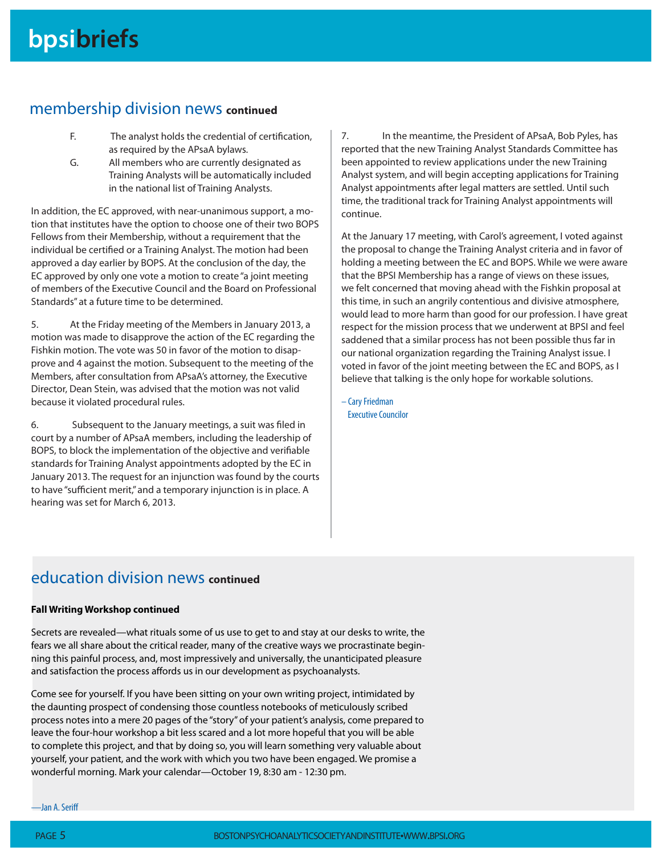### membership division news **continued**

- F. The analyst holds the credential of certification, as required by the APsaA bylaws.
- G. All members who are currently designated as Training Analysts will be automatically included in the national list of Training Analysts.

In addition, the EC approved, with near-unanimous support, a motion that institutes have the option to choose one of their two BOPS Fellows from their Membership, without a requirement that the individual be certified or a Training Analyst. The motion had been approved a day earlier by BOPS. At the conclusion of the day, the EC approved by only one vote a motion to create "a joint meeting of members of the Executive Council and the Board on Professional Standards" at a future time to be determined.

5. At the Friday meeting of the Members in January 2013, a motion was made to disapprove the action of the EC regarding the Fishkin motion. The vote was 50 in favor of the motion to disapprove and 4 against the motion. Subsequent to the meeting of the Members, after consultation from APsaA's attorney, the Executive Director, Dean Stein, was advised that the motion was not valid because it violated procedural rules.

6. Subsequent to the January meetings, a suit was filed in court by a number of APsaA members, including the leadership of BOPS, to block the implementation of the objective and verifiable standards for Training Analyst appointments adopted by the EC in January 2013. The request for an injunction was found by the courts to have "sufficient merit," and a temporary injunction is in place. A hearing was set for March 6, 2013.

7. In the meantime, the President of APsaA, Bob Pyles, has reported that the new Training Analyst Standards Committee has been appointed to review applications under the new Training Analyst system, and will begin accepting applications for Training Analyst appointments after legal matters are settled. Until such time, the traditional track for Training Analyst appointments will continue.

At the January 17 meeting, with Carol's agreement, I voted against the proposal to change the Training Analyst criteria and in favor of holding a meeting between the EC and BOPS. While we were aware that the BPSI Membership has a range of views on these issues, we felt concerned that moving ahead with the Fishkin proposal at this time, in such an angrily contentious and divisive atmosphere, would lead to more harm than good for our profession. I have great respect for the mission process that we underwent at BPSI and feel saddened that a similar process has not been possible thus far in our national organization regarding the Training Analyst issue. I voted in favor of the joint meeting between the EC and BOPS, as I believe that talking is the only hope for workable solutions.

– Cary Friedman Executive Councilor

### education division news **continued**

#### **Fall Writing Workshop continued**

Secrets are revealed—what rituals some of us use to get to and stay at our desks to write, the fears we all share about the critical reader, many of the creative ways we procrastinate beginning this painful process, and, most impressively and universally, the unanticipated pleasure and satisfaction the process affords us in our development as psychoanalysts.

Come see for yourself. If you have been sitting on your own writing project, intimidated by the daunting prospect of condensing those countless notebooks of meticulously scribed process notes into a mere 20 pages of the "story" of your patient's analysis, come prepared to leave the four-hour workshop a bit less scared and a lot more hopeful that you will be able to complete this project, and that by doing so, you will learn something very valuable about yourself, your patient, and the work with which you two have been engaged. We promise a wonderful morning. Mark your calendar—October 19, 8:30 am - 12:30 pm.

—Jan A. Seriff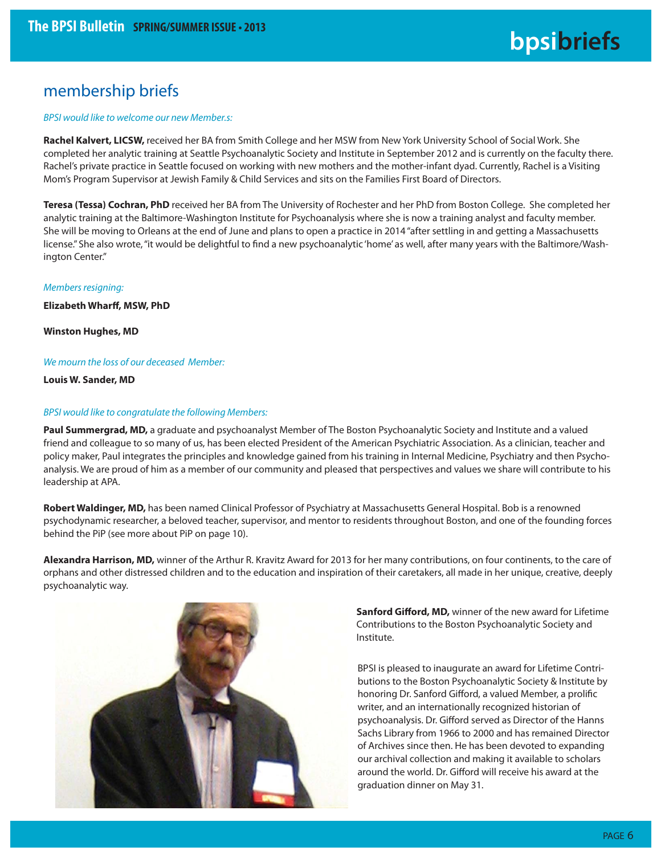### membership briefs

#### BPSI would like to welcome our new Member.s:

**Rachel Kalvert, LICSW,** received her BA from Smith College and her MSW from New York University School of Social Work. She completed her analytic training at Seattle Psychoanalytic Society and Institute in September 2012 and is currently on the faculty there. Rachel's private practice in Seattle focused on working with new mothers and the mother-infant dyad. Currently, Rachel is a Visiting Mom's Program Supervisor at Jewish Family & Child Services and sits on the Families First Board of Directors.

**Teresa (Tessa) Cochran, PhD** received her BA from The University of Rochester and her PhD from Boston College. She completed her analytic training at the Baltimore-Washington Institute for Psychoanalysis where she is now a training analyst and faculty member. She will be moving to Orleans at the end of June and plans to open a practice in 2014 "after settling in and getting a Massachusetts license." She also wrote, "it would be delightful to find a new psychoanalytic 'home' as well, after many years with the Baltimore/Washington Center."

#### Members resigning:

**Elizabeth Wharff, MSW, PhD** 

**Winston Hughes, MD**

#### We mourn the loss of our deceased Member:

**Louis W. Sander, MD**

#### BPSI would like to congratulate the following Members:

Paul Summergrad, MD, a graduate and psychoanalyst Member of The Boston Psychoanalytic Society and Institute and a valued friend and colleague to so many of us, has been elected President of the American Psychiatric Association. As a clinician, teacher and policy maker, Paul integrates the principles and knowledge gained from his training in Internal Medicine, Psychiatry and then Psychoanalysis. We are proud of him as a member of our community and pleased that perspectives and values we share will contribute to his leadership at APA.

**Robert Waldinger, MD,** has been named Clinical Professor of Psychiatry at Massachusetts General Hospital. Bob is a renowned psychodynamic researcher, a beloved teacher, supervisor, and mentor to residents throughout Boston, and one of the founding forces behind the PiP (see more about PiP on page 10).

**Alexandra Harrison, MD,** winner of the Arthur R. Kravitz Award for 2013 for her many contributions, on four continents, to the care of orphans and other distressed children and to the education and inspiration of their caretakers, all made in her unique, creative, deeply psychoanalytic way.



Sanford Gifford, MD, winner of the new award for Lifetime Contributions to the Boston Psychoanalytic Society and

BPSI is pleased to inaugurate an award for Lifetime Contributions to the Boston Psychoanalytic Society & Institute by honoring Dr. Sanford Gifford, a valued Member, a prolific writer, and an internationally recognized historian of psychoanalysis. Dr. Gifford served as Director of the Hanns Sachs Library from 1966 to 2000 and has remained Director of Archives since then. He has been devoted to expanding our archival collection and making it available to scholars around the world. Dr. Gifford will receive his award at the graduation dinner on May 31.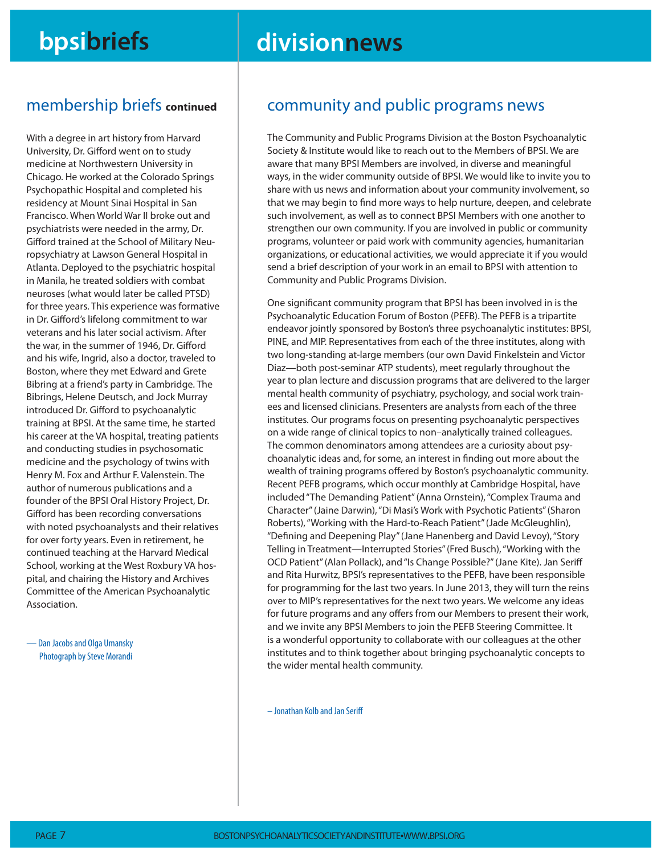## **bpsibriefs divisionnews**

### membership briefs **continued**

With a degree in art history from Harvard University, Dr. Gifford went on to study medicine at Northwestern University in Chicago. He worked at the Colorado Springs Psychopathic Hospital and completed his residency at Mount Sinai Hospital in San Francisco. When World War II broke out and psychiatrists were needed in the army, Dr. Gifford trained at the School of Military Neuropsychiatry at Lawson General Hospital in Atlanta. Deployed to the psychiatric hospital in Manila, he treated soldiers with combat neuroses (what would later be called PTSD) for three years. This experience was formative in Dr. Gifford's lifelong commitment to war veterans and his later social activism. After the war, in the summer of 1946, Dr. Gifford and his wife, Ingrid, also a doctor, traveled to Boston, where they met Edward and Grete Bibring at a friend's party in Cambridge. The Bibrings, Helene Deutsch, and Jock Murray introduced Dr. Gifford to psychoanalytic training at BPSI. At the same time, he started his career at the VA hospital, treating patients and conducting studies in psychosomatic medicine and the psychology of twins with Henry M. Fox and Arthur F. Valenstein. The author of numerous publications and a founder of the BPSI Oral History Project, Dr. Gifford has been recording conversations with noted psychoanalysts and their relatives for over forty years. Even in retirement, he continued teaching at the Harvard Medical School, working at the West Roxbury VA hospital, and chairing the History and Archives Committee of the American Psychoanalytic Association.

— Dan Jacobs and Olga Umansky Photograph by Steve Morandi

### community and public programs news

The Community and Public Programs Division at the Boston Psychoanalytic Society & Institute would like to reach out to the Members of BPSI. We are aware that many BPSI Members are involved, in diverse and meaningful ways, in the wider community outside of BPSI. We would like to invite you to share with us news and information about your community involvement, so that we may begin to find more ways to help nurture, deepen, and celebrate such involvement, as well as to connect BPSI Members with one another to strengthen our own community. If you are involved in public or community programs, volunteer or paid work with community agencies, humanitarian organizations, or educational activities, we would appreciate it if you would send a brief description of your work in an email to BPSI with attention to Community and Public Programs Division.

One significant community program that BPSI has been involved in is the Psychoanalytic Education Forum of Boston (PEFB). The PEFB is a tripartite endeavor jointly sponsored by Boston's three psychoanalytic institutes: BPSI, PINE, and MIP. Representatives from each of the three institutes, along with two long-standing at-large members (our own David Finkelstein and Victor Diaz—both post-seminar ATP students), meet regularly throughout the year to plan lecture and discussion programs that are delivered to the larger mental health community of psychiatry, psychology, and social work trainees and licensed clinicians. Presenters are analysts from each of the three institutes. Our programs focus on presenting psychoanalytic perspectives on a wide range of clinical topics to non–analytically trained colleagues. The common denominators among attendees are a curiosity about psychoanalytic ideas and, for some, an interest in finding out more about the wealth of training programs offered by Boston's psychoanalytic community. Recent PEFB programs, which occur monthly at Cambridge Hospital, have included "The Demanding Patient" (Anna Ornstein), "Complex Trauma and Character" (Jaine Darwin), "Di Masi's Work with Psychotic Patients" (Sharon Roberts), "Working with the Hard-to-Reach Patient" (Jade McGleughlin), "Defining and Deepening Play" (Jane Hanenberg and David Levoy), "Story Telling in Treatment—Interrupted Stories" (Fred Busch), "Working with the OCD Patient" (Alan Pollack), and "Is Change Possible?" (Jane Kite). Jan Seriff and Rita Hurwitz, BPSI's representatives to the PEFB, have been responsible for programming for the last two years. In June 2013, they will turn the reins over to MIP's representatives for the next two years. We welcome any ideas for future programs and any offers from our Members to present their work, and we invite any BPSI Members to join the PEFB Steering Committee. It is a wonderful opportunity to collaborate with our colleagues at the other institutes and to think together about bringing psychoanalytic concepts to the wider mental health community.

– Jonathan Kolb and Jan Seriff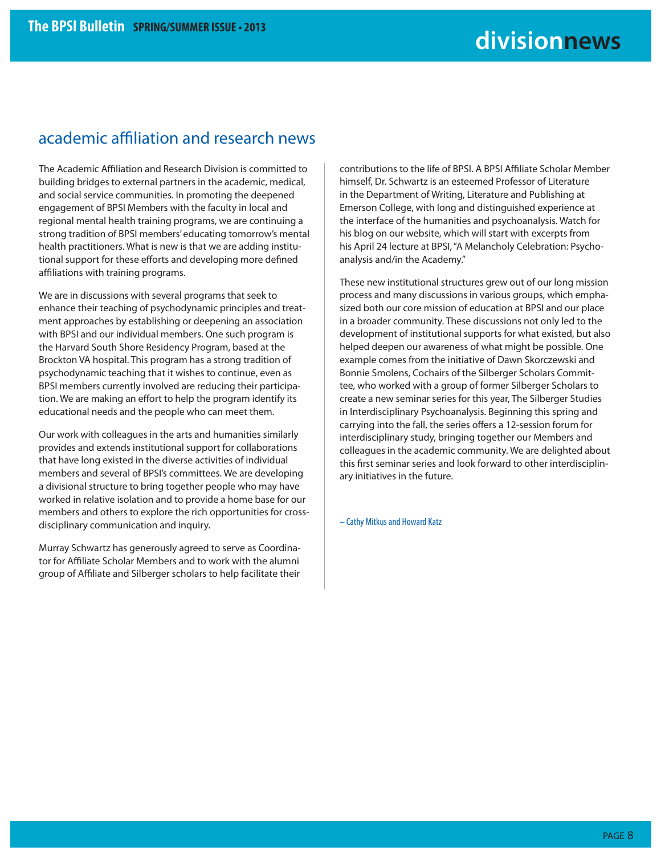### academic affiliation and research news

The Academic Affiliation and Research Division is committed to building bridges to external partners in the academic, medical, and social service communities. In promoting the deepened engagement of BPSI Members with the faculty in local and regional mental health training programs, we are continuing a strong tradition of BPSI members' educating tomorrow's mental health practitioners. What is new is that we are adding institutional support for these efforts and developing more defined affiliations with training programs.

We are in discussions with several programs that seek to enhance their teaching of psychodynamic principles and treatment approaches by establishing or deepening an association with BPSI and our individual members. One such program is the Harvard South Shore Residency Program, based at the Brockton VA hospital. This program has a strong tradition of psychodynamic teaching that it wishes to continue, even as BPSI members currently involved are reducing their participation. We are making an effort to help the program identify its educational needs and the people who can meet them.

Our work with colleagues in the arts and humanities similarly provides and extends institutional support for collaborations that have long existed in the diverse activities of individual members and several of BPSI's committees. We are developing a divisional structure to bring together people who may have worked in relative isolation and to provide a home base for our members and others to explore the rich opportunities for crossdisciplinary communication and inquiry.

Murray Schwartz has generously agreed to serve as Coordinator for Affiliate Scholar Members and to work with the alumni group of Affiliate and Silberger scholars to help facilitate their contributions to the life of BPSI. A BPSI Affiliate Scholar Member himself, Dr. Schwartz is an esteemed Professor of Literature in the Department of Writing, Literature and Publishing at Emerson College, with long and distinguished experience at the interface of the humanities and psychoanalysis. Watch for his blog on our website, which will start with excerpts from his April 24 lecture at BPSI, "A Melancholy Celebration: Psychoanalysis and/in the Academy."

These new institutional structures grew out of our long mission process and many discussions in various groups, which emphasized both our core mission of education at BPSI and our place in a broader community. These discussions not only led to the development of institutional supports for what existed, but also helped deepen our awareness of what might be possible. One example comes from the initiative of Dawn Skorczewski and Bonnie Smolens, Cochairs of the Silberger Scholars Committee, who worked with a group of former Silberger Scholars to create a new seminar series for this year, The Silberger Studies in Interdisciplinary Psychoanalysis. Beginning this spring and carrying into the fall, the series offers a 12-session forum for interdisciplinary study, bringing together our Members and colleagues in the academic community. We are delighted about this first seminar series and look forward to other interdisciplinary initiatives in the future.

– Cathy Mitkus and Howard Katz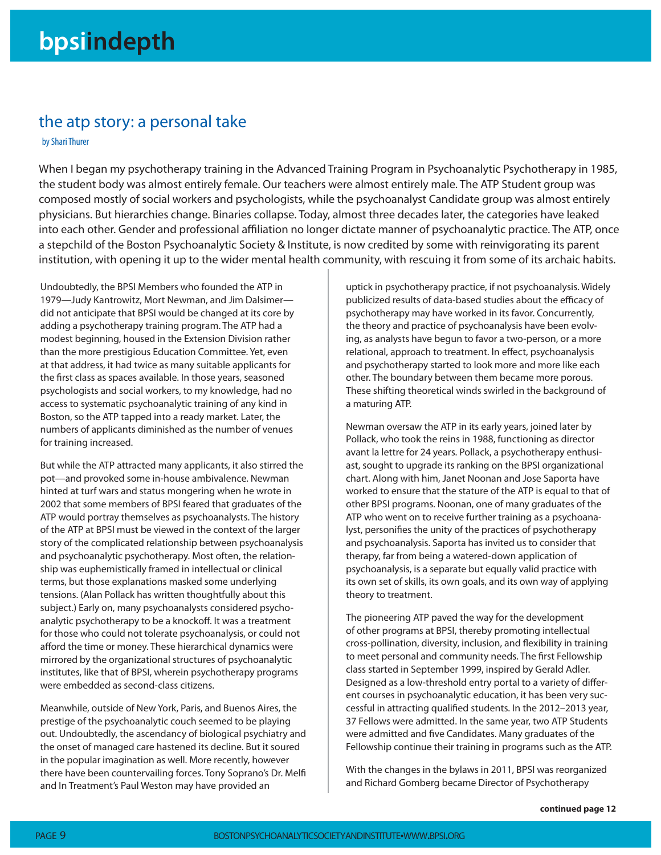### the atp story: a personal take

by Shari Thurer

When I began my psychotherapy training in the Advanced Training Program in Psychoanalytic Psychotherapy in 1985, the student body was almost entirely female. Our teachers were almost entirely male. The ATP Student group was composed mostly of social workers and psychologists, while the psychoanalyst Candidate group was almost entirely physicians. But hierarchies change. Binaries collapse. Today, almost three decades later, the categories have leaked into each other. Gender and professional affiliation no longer dictate manner of psychoanalytic practice. The ATP, once a stepchild of the Boston Psychoanalytic Society & Institute, is now credited by some with reinvigorating its parent institution, with opening it up to the wider mental health community, with rescuing it from some of its archaic habits.

Undoubtedly, the BPSI Members who founded the ATP in 1979—Judy Kantrowitz, Mort Newman, and Jim Dalsimer did not anticipate that BPSI would be changed at its core by adding a psychotherapy training program. The ATP had a modest beginning, housed in the Extension Division rather than the more prestigious Education Committee. Yet, even at that address, it had twice as many suitable applicants for the first class as spaces available. In those years, seasoned psychologists and social workers, to my knowledge, had no access to systematic psychoanalytic training of any kind in Boston, so the ATP tapped into a ready market. Later, the numbers of applicants diminished as the number of venues for training increased.

But while the ATP attracted many applicants, it also stirred the pot—and provoked some in-house ambivalence. Newman hinted at turf wars and status mongering when he wrote in 2002 that some members of BPSI feared that graduates of the ATP would portray themselves as psychoanalysts. The history of the ATP at BPSI must be viewed in the context of the larger story of the complicated relationship between psychoanalysis and psychoanalytic psychotherapy. Most often, the relationship was euphemistically framed in intellectual or clinical terms, but those explanations masked some underlying tensions. (Alan Pollack has written thoughtfully about this subject.) Early on, many psychoanalysts considered psychoanalytic psychotherapy to be a knockoff. It was a treatment for those who could not tolerate psychoanalysis, or could not afford the time or money. These hierarchical dynamics were mirrored by the organizational structures of psychoanalytic institutes, like that of BPSI, wherein psychotherapy programs were embedded as second-class citizens.

Meanwhile, outside of New York, Paris, and Buenos Aires, the prestige of the psychoanalytic couch seemed to be playing out. Undoubtedly, the ascendancy of biological psychiatry and the onset of managed care hastened its decline. But it soured in the popular imagination as well. More recently, however there have been countervailing forces. Tony Soprano's Dr. Melfi and In Treatment's Paul Weston may have provided an

uptick in psychotherapy practice, if not psychoanalysis. Widely publicized results of data-based studies about the efficacy of psychotherapy may have worked in its favor. Concurrently, the theory and practice of psychoanalysis have been evolving, as analysts have begun to favor a two-person, or a more relational, approach to treatment. In effect, psychoanalysis and psychotherapy started to look more and more like each other. The boundary between them became more porous. These shifting theoretical winds swirled in the background of a maturing ATP.

Newman oversaw the ATP in its early years, joined later by Pollack, who took the reins in 1988, functioning as director avant la lettre for 24 years. Pollack, a psychotherapy enthusiast, sought to upgrade its ranking on the BPSI organizational chart. Along with him, Janet Noonan and Jose Saporta have worked to ensure that the stature of the ATP is equal to that of other BPSI programs. Noonan, one of many graduates of the ATP who went on to receive further training as a psychoanalyst, personifies the unity of the practices of psychotherapy and psychoanalysis. Saporta has invited us to consider that therapy, far from being a watered-down application of psychoanalysis, is a separate but equally valid practice with its own set of skills, its own goals, and its own way of applying theory to treatment.

The pioneering ATP paved the way for the development of other programs at BPSI, thereby promoting intellectual cross-pollination, diversity, inclusion, and flexibility in training to meet personal and community needs. The first Fellowship class started in September 1999, inspired by Gerald Adler. Designed as a low-threshold entry portal to a variety of different courses in psychoanalytic education, it has been very successful in attracting qualified students. In the 2012–2013 year, 37 Fellows were admitted. In the same year, two ATP Students were admitted and five Candidates. Many graduates of the Fellowship continue their training in programs such as the ATP.

With the changes in the bylaws in 2011, BPSI was reorganized and Richard Gomberg became Director of Psychotherapy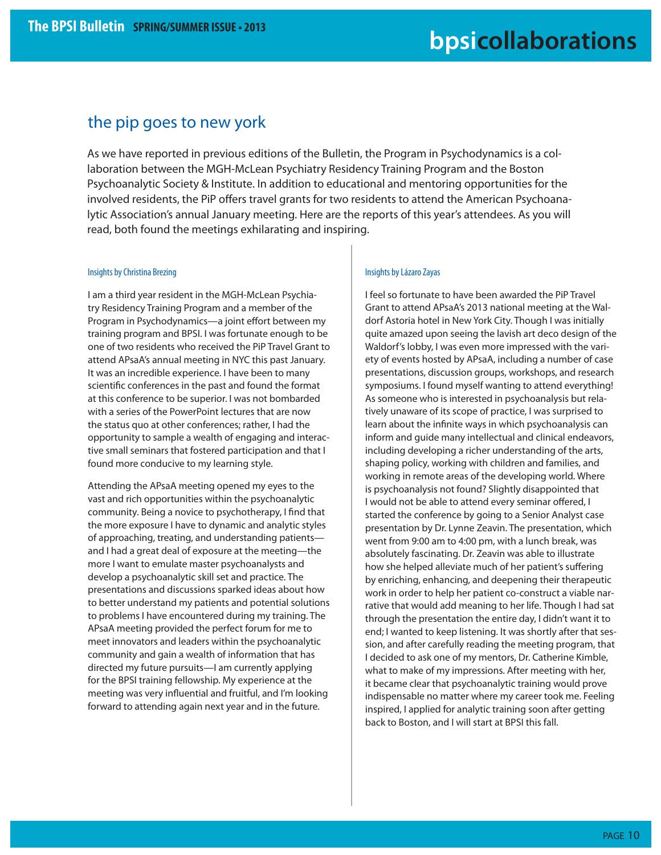### the pip goes to new york

As we have reported in previous editions of the Bulletin, the Program in Psychodynamics is a collaboration between the MGH-McLean Psychiatry Residency Training Program and the Boston Psychoanalytic Society & Institute. In addition to educational and mentoring opportunities for the involved residents, the PiP offers travel grants for two residents to attend the American Psychoanalytic Association's annual January meeting. Here are the reports of this year's attendees. As you will read, both found the meetings exhilarating and inspiring.

#### Insights by Christina Brezing

I am a third year resident in the MGH-McLean Psychiatry Residency Training Program and a member of the Program in Psychodynamics—a joint effort between my training program and BPSI. I was fortunate enough to be one of two residents who received the PiP Travel Grant to attend APsaA's annual meeting in NYC this past January. It was an incredible experience. I have been to many scientific conferences in the past and found the format at this conference to be superior. I was not bombarded with a series of the PowerPoint lectures that are now the status quo at other conferences; rather, I had the opportunity to sample a wealth of engaging and interactive small seminars that fostered participation and that I found more conducive to my learning style.

Attending the APsaA meeting opened my eyes to the vast and rich opportunities within the psychoanalytic community. Being a novice to psychotherapy, I find that the more exposure I have to dynamic and analytic styles of approaching, treating, and understanding patients and I had a great deal of exposure at the meeting—the more I want to emulate master psychoanalysts and develop a psychoanalytic skill set and practice. The presentations and discussions sparked ideas about how to better understand my patients and potential solutions to problems I have encountered during my training. The APsaA meeting provided the perfect forum for me to meet innovators and leaders within the psychoanalytic community and gain a wealth of information that has directed my future pursuits—I am currently applying for the BPSI training fellowship. My experience at the meeting was very influential and fruitful, and I'm looking forward to attending again next year and in the future.

#### Insights by Lázaro Zayas

I feel so fortunate to have been awarded the PiP Travel Grant to attend APsaA's 2013 national meeting at the Waldorf Astoria hotel in New York City. Though I was initially quite amazed upon seeing the lavish art deco design of the Waldorf's lobby, I was even more impressed with the variety of events hosted by APsaA, including a number of case presentations, discussion groups, workshops, and research symposiums. I found myself wanting to attend everything! As someone who is interested in psychoanalysis but relatively unaware of its scope of practice, I was surprised to learn about the infinite ways in which psychoanalysis can inform and guide many intellectual and clinical endeavors, including developing a richer understanding of the arts, shaping policy, working with children and families, and working in remote areas of the developing world. Where is psychoanalysis not found? Slightly disappointed that I would not be able to attend every seminar offered, I started the conference by going to a Senior Analyst case presentation by Dr. Lynne Zeavin. The presentation, which went from 9:00 am to 4:00 pm, with a lunch break, was absolutely fascinating. Dr. Zeavin was able to illustrate how she helped alleviate much of her patient's suffering by enriching, enhancing, and deepening their therapeutic work in order to help her patient co-construct a viable narrative that would add meaning to her life. Though I had sat through the presentation the entire day, I didn't want it to end; I wanted to keep listening. It was shortly after that session, and after carefully reading the meeting program, that I decided to ask one of my mentors, Dr. Catherine Kimble, what to make of my impressions. After meeting with her, it became clear that psychoanalytic training would prove indispensable no matter where my career took me. Feeling inspired, I applied for analytic training soon after getting back to Boston, and I will start at BPSI this fall.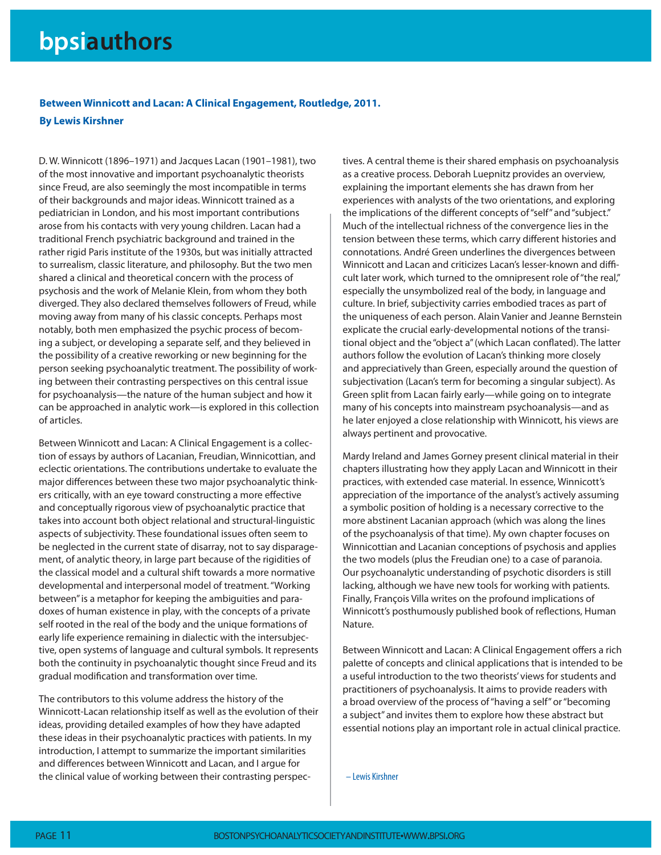**Between Winnicott and Lacan: A Clinical Engagement, Routledge, 2011. By Lewis Kirshner**

D. W. Winnicott (1896–1971) and Jacques Lacan (1901–1981), two of the most innovative and important psychoanalytic theorists since Freud, are also seemingly the most incompatible in terms of their backgrounds and major ideas. Winnicott trained as a pediatrician in London, and his most important contributions arose from his contacts with very young children. Lacan had a traditional French psychiatric background and trained in the rather rigid Paris institute of the 1930s, but was initially attracted to surrealism, classic literature, and philosophy. But the two men shared a clinical and theoretical concern with the process of psychosis and the work of Melanie Klein, from whom they both diverged. They also declared themselves followers of Freud, while moving away from many of his classic concepts. Perhaps most notably, both men emphasized the psychic process of becoming a subject, or developing a separate self, and they believed in the possibility of a creative reworking or new beginning for the person seeking psychoanalytic treatment. The possibility of working between their contrasting perspectives on this central issue for psychoanalysis—the nature of the human subject and how it can be approached in analytic work—is explored in this collection of articles.

Between Winnicott and Lacan: A Clinical Engagement is a collection of essays by authors of Lacanian, Freudian, Winnicottian, and eclectic orientations. The contributions undertake to evaluate the major differences between these two major psychoanalytic thinkers critically, with an eye toward constructing a more effective and conceptually rigorous view of psychoanalytic practice that takes into account both object relational and structural-linguistic aspects of subjectivity. These foundational issues often seem to be neglected in the current state of disarray, not to say disparagement, of analytic theory, in large part because of the rigidities of the classical model and a cultural shift towards a more normative developmental and interpersonal model of treatment. "Working between" is a metaphor for keeping the ambiguities and paradoxes of human existence in play, with the concepts of a private self rooted in the real of the body and the unique formations of early life experience remaining in dialectic with the intersubjective, open systems of language and cultural symbols. It represents both the continuity in psychoanalytic thought since Freud and its gradual modification and transformation over time.

The contributors to this volume address the history of the Winnicott-Lacan relationship itself as well as the evolution of their ideas, providing detailed examples of how they have adapted these ideas in their psychoanalytic practices with patients. In my introduction, I attempt to summarize the important similarities and differences between Winnicott and Lacan, and I arque for the clinical value of working between their contrasting perspectives. A central theme is their shared emphasis on psychoanalysis as a creative process. Deborah Luepnitz provides an overview, explaining the important elements she has drawn from her experiences with analysts of the two orientations, and exploring the implications of the different concepts of "self" and "subject." Much of the intellectual richness of the convergence lies in the tension between these terms, which carry different histories and connotations. André Green underlines the divergences between Winnicott and Lacan and criticizes Lacan's lesser-known and difficult later work, which turned to the omnipresent role of "the real," especially the unsymbolized real of the body, in language and culture. In brief, subjectivity carries embodied traces as part of the uniqueness of each person. Alain Vanier and Jeanne Bernstein explicate the crucial early-developmental notions of the transitional object and the "object a" (which Lacan conflated). The latter authors follow the evolution of Lacan's thinking more closely and appreciatively than Green, especially around the question of subjectivation (Lacan's term for becoming a singular subject). As Green split from Lacan fairly early—while going on to integrate many of his concepts into mainstream psychoanalysis—and as he later enjoyed a close relationship with Winnicott, his views are always pertinent and provocative.

Mardy Ireland and James Gorney present clinical material in their chapters illustrating how they apply Lacan and Winnicott in their practices, with extended case material. In essence, Winnicott's appreciation of the importance of the analyst's actively assuming a symbolic position of holding is a necessary corrective to the more abstinent Lacanian approach (which was along the lines of the psychoanalysis of that time). My own chapter focuses on Winnicottian and Lacanian conceptions of psychosis and applies the two models (plus the Freudian one) to a case of paranoia. Our psychoanalytic understanding of psychotic disorders is still lacking, although we have new tools for working with patients. Finally, François Villa writes on the profound implications of Winnicott's posthumously published book of reflections, Human Nature.

Between Winnicott and Lacan: A Clinical Engagement offers a rich palette of concepts and clinical applications that is intended to be a useful introduction to the two theorists' views for students and practitioners of psychoanalysis. It aims to provide readers with a broad overview of the process of "having a self" or "becoming a subject" and invites them to explore how these abstract but essential notions play an important role in actual clinical practice.

– Lewis Kirshner